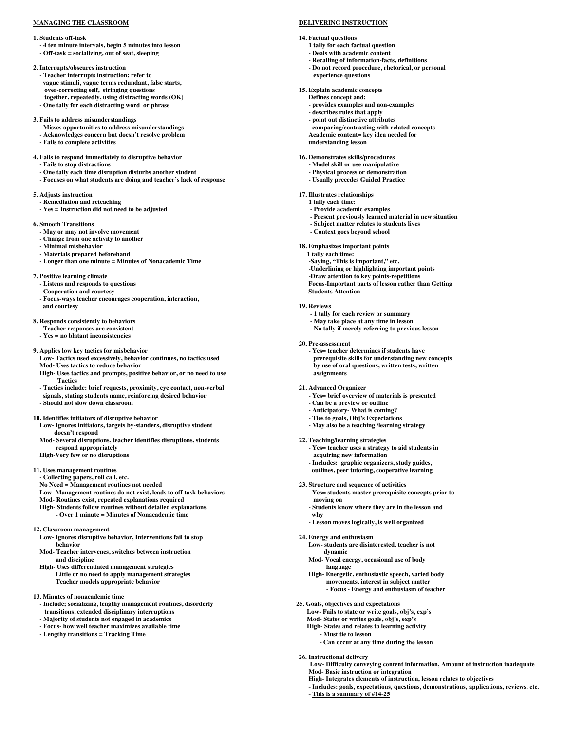# **MANAGING THE CLASSROOM**

#### **1. Students off-task**

**- 4 ten minute intervals, begin 5 minutes into lesson - Off-task = socializing, out of seat, sleeping** 

**2. Interrupts/obscures instruction - Teacher interrupts instruction: refer to vague stimuli, vague terms redundant, false starts, over-correcting self, stringing questions together, repeatedly, using distracting words (OK) - One tally for each distracting word or phrase** 

#### **3. Fails to address misunderstandings**

- **- Misses opportunities to address misunderstandings**
- **- Acknowledges concern but doesn't resolve problem**
- **- Fails to complete activities**

# **4. Fails to respond immediately to disruptive behavior**

- **- Fails to stop distractions**
- **- One tally each time disruption disturbs another student**
- **- Focuses on what students are doing and teacher's lack of response**
- **5. Adjusts instruction** 
	- **- Remediation and reteaching**
	- **- Yes = Instruction did not need to be adjusted**

# **6. Smooth Transitions**

- **- May or may not involve movement**
- **- Change from one activity to another**
- **- Minimal misbehavior**
- **- Materials prepared beforehand**
- **- Longer than one minute = Minutes of Nonacademic Time**

#### **7. Positive learning climate**

- **- Listens and responds to questions**
- **- Cooperation and courtesy**
- **- Focus-ways teacher encourages cooperation, interaction, and courtesy**

#### **8. Responds consistently to behaviors**

- **- Teacher responses are consistent**
- **- Yes = no blatant inconsistencies**

#### **9. Applies low key tactics for misbehavior**

- **Low- Tactics used excessively, behavior continues, no tactics used Mod- Uses tactics to reduce behavior**
- **High- Uses tactics and prompts, positive behavior, or no need to use Tactics**
- **- Tactics include: brief requests, proximity, eye contact, non-verbal signals, stating students name, reinforcing desired behavior**
- **- Should not slow down classroom**

#### **10. Identifies initiators of disruptive behavior**

- **Low- Ignores initiators, targets by-standers, disruptive student doesn't respond**
- **Mod- Several disruptions, teacher identifies disruptions, students respond appropriately**
- **High-Very few or no disruptions**

#### **11. Uses management routines**

- **- Collecting papers, roll call, etc.**
- **No Need = Management routines not needed**
- **Low- Management routines do not exist, leads to off-task behaviors**
- **Mod- Routines exist, repeated explanations required**
- **High- Students follow routines without detailed explanations - Over 1 minute = Minutes of Nonacademic time**
- **12. Classroom management**
- **Low- Ignores disruptive behavior, Interventions fail to stop behavior**
- **Mod- Teacher intervenes, switches between instruction and discipline**
- **High- Uses differentiated management strategies Little or no need to apply management strategies Teacher models appropriate behavior**
- **13. Minutes of nonacademic time** 
	- **- Include; socializing, lengthy management routines, disorderly transitions, extended disciplinary interruptions**
	- **- Majority of students not engaged in academics**
	- **- Focus- how well teacher maximizes available time**
	- **- Lengthy transitions = Tracking Time**

# **DELIVERING INSTRUCTION**

- **14. Factual questions**
	- **1 tally for each factual question**
	- **- Deals with academic content**
	- **- Recalling of information-facts, definitions**
	- **- Do not record procedure, rhetorical, or personal experience questions**
- **15. Explain academic concepts**
	- **Defines concept and:**
	- **- provides examples and non-examples - describes rules that apply**
	- **- point out distinctive attributes**
	-
	- **- comparing/contrasting with related concepts Academic content= key idea needed for understanding lesson**
- **16. Demonstrates skills/procedures**
	- **- Model skill or use manipulative**
	- **- Physical process or demonstration**
	- **- Usually precedes Guided Practice**
- **17. Illustrates relationships**
	- **1 tally each time:**
	- **- Provide academic examples**
	- **- Present previously learned material in new situation**
	- **- Subject matter relates to students lives**
	- **- Context goes beyond school**

# **18. Emphasizes important points**

- **1 tally each time:**
- **-Saying, "This is important," etc.**
- **-Underlining or highlighting important points**
- **-Draw attention to key points-repetitions**
- **Focus-Important parts of lesson rather than Getting Students Attention**
- **19. Reviews**
	- **- 1 tally for each review or summary**
	- **- May take place at any time in lesson**
	- **- No tally if merely referring to previous lesson**
- **20. Pre-assessment** 
	- **- Yes= teacher determines if students have prerequisite skills for understanding new concepts by use of oral questions, written tests, written assignments**
- **21. Advanced Organizer**
	- **- Yes= brief overview of materials is presented**
	- **- Can be a preview or outline**
	- **- Anticipatory- What is coming?**
	- **- Ties to goals, Obj's Expectations**
	- **- May also be a teaching /learning strategy**
- **22. Teaching/learning strategies**

**24. Energy and enthusiasm**

**dynamic**

**language**

**25. Goals, objectives and expectations** 

**- Must tie to lesson** 

**26. Instructional delivery** 

- **- Yes= teacher uses a strategy to aid students in acquiring new information**
- **- Includes: graphic organizers, study guides, outlines, peer tutoring, cooperative learning**
- **23. Structure and sequence of activities**
	- **- Yes= students master prerequisite concepts prior to moving on**
- **- Students know where they are in the lesson and**

**Low- students are disinterested, teacher is not**

**High- Energetic, enthusiastic speech, varied body movements, interest in subject matter - Focus - Energy and enthusiasm of teacher**

**- Can occur at any time during the lesson** 

**Low- Difficulty conveying content information, Amount of instruction inadequate** 

**- Includes: goals, expectations, questions, demonstrations, applications, reviews, etc.** 

**High- Integrates elements of instruction, lesson relates to objectives** 

**Mod- Vocal energy, occasional use of body**

**Low- Fails to state or write goals, obj's, exp's Mod- States or writes goals, obj's, exp's High- States and relates to learning activity** 

**Mod- Basic instruction or integration** 

**- This is a summary of #14-25** 

**why - Lesson moves logically, is well organized**